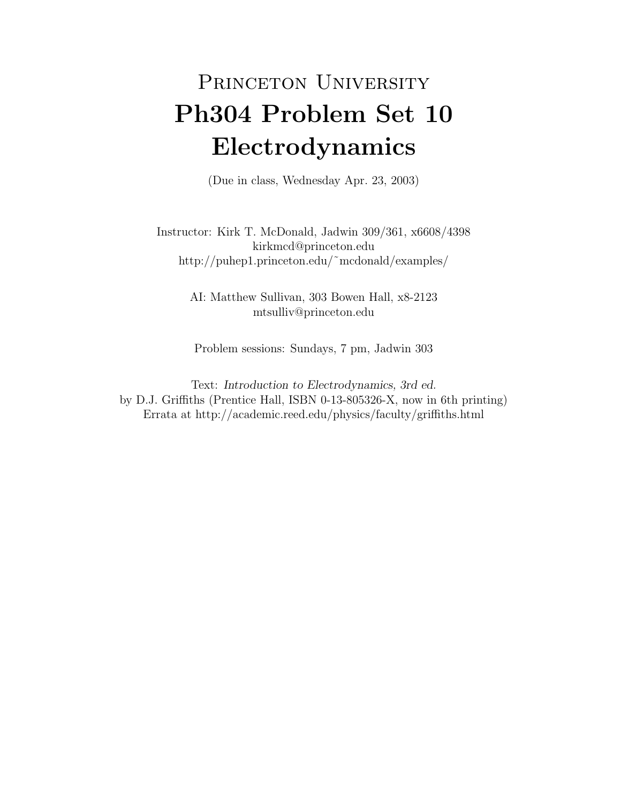## PRINCETON UNIVERSITY Ph304 Problem Set 10 Electrodynamics

(Due in class, Wednesday Apr. 23, 2003)

Instructor: Kirk T. McDonald, Jadwin 309/361, x6608/4398 kirkmcd@princeton.edu http://puhep1.princeton.edu/˜mcdonald/examples/

> AI: Matthew Sullivan, 303 Bowen Hall, x8-2123 mtsulliv@princeton.edu

Problem sessions: Sundays, 7 pm, Jadwin 303

Text: Introduction to Electrodynamics, 3rd ed. by D.J. Griffiths (Prentice Hall, ISBN 0-13-805326-X, now in 6th printing) Errata at http://academic.reed.edu/physics/faculty/griffiths.html